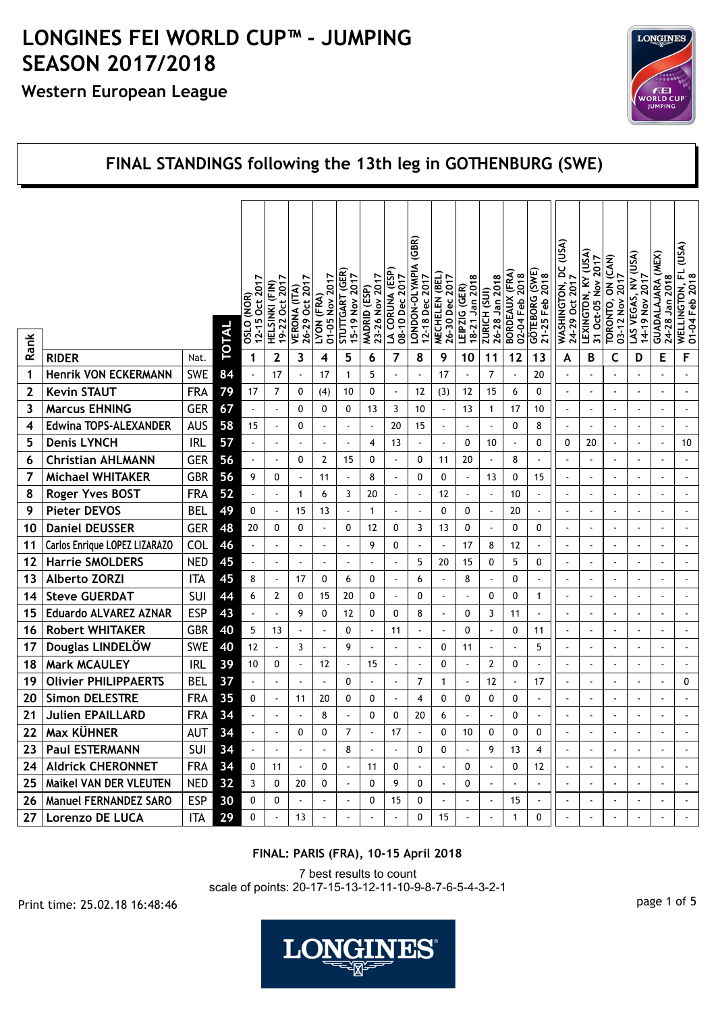## **Western European League**



#### **FINAL STANDINGS following the 13th leg in GOTHENBURG (SWE)** (GBR)  **LONDON-OLYMPIA (GBR)**  $(USA)$ *GS***D, DQ (NOLUNILST) D LAS YEGAS, NY (USA)**<br>T4-19 Nov 2017<br>In GUADALAJARA (MEX)<br>24-28 Jan 2018<br><u>WELLINGTON,</u> FL (USA)  **WELLINGTON, FL (USA)** (ASI)  **LEXINGTON, KY (USA) LAS VEGAS, NV (USA)** ON (CAN)  **TORONTO, ON (CAN)** Oct-05 Nov 2017  **31 Oct-05 Nov 2017** *TONOON-OLWANA* 5|  **STUTTGART (GER) LA CORUNA (ESP) GÖTEBORG (SWE) CORUNA (ESP) BORDEAUX (FRA)** GÖTEBORG (SWE)<br>21-25 Feb 2018 STUTTGART (GER **MECHELEN (BEL) MECHELEN (BEL)** BORDEAUX (FRA)<br>02-04 Feb 2018 2017 2017 LA CORUNA (ESF<br>08-10 Dec 2017 2017  **01-05 Nov 2017 15-19 Nov 2017** 23-26 Nov 2017  **23-26 Nov 2017 08-10 Dec 2017 12-18 Dec 2017** 26-30 Dec 2017  **26-30 Dec 2017**  $\infty$  **02-04 Feb 2018 21-25 Feb 2018 03-12 Nov 2017 14-19 Nov 2017 01-04 Feb 2018 12-15 Oct 2017 19-22 Oct 2017 26-29 Oct 2017** 12-18 Dec 2017  **18-21 Jan 2018 26-28 Jan 2018 WASHINGTON, I**<br>24-29 Oct 2017  **24-29 Oct 2017** LEXINGTON, KY 0SLO (NOR)<br>12-15 Oct 2017 **VERONA (ITA)**<br>26-29 Oct 2017 HELSINKI (FIN)  **HELSINKI (FIN)** Jan 201  $\overline{201}$  $\overline{5}$ 19-22 Oct 201  $(GER)$ (ESP)  **VERONA (ITA) MADRID (ESP) LEIPZIG (GER)** ZURICH (SUI)  **ZURICH (SUI) OSLO (NOR)** (FRA) ∠<br>S  **LYON (FRA)**  $15-19$  Nov Jan  $\frac{5}{2}$ Feb **TORONTO. MADRID** LEIPZIG  $03 - 121$  $18 - 21$  $26 - 28$ **LYON**  $01 - 05$ 01-04 **TOTAL Rank RIDER** Nat. **6 7 8 9 10 12 F 1 2 3 4 5 11 13 A B C 1 Henrik VON ECKERMANN** SWE **84** - 17 - 17 1 1 5 - 17 - 17 - 7 - 20 - - - - - - - - - -**2 Kevin STAUT** FRA **79** 17 7 0 (4) 10 0 - 12 (3) 12 15 6 0 - - - - - - **3** |**Marcus EHNING** | GER 67 | | 0 | 0 | 13 | 3 | 10 | - | 13 | 1 | 17 | 10 || - | - | - | - | - | - | -**4 Edwina TOPS-ALEXANDER** AUS **58** 15 - 0 - - - 20 15 - - - 0 - 0 8 - - - - - - - - - -**5 Denis LYNCH** IRL **57** - - - - - 4 13 - - 0 10 - 0 0 20 - - - 10 **6 Christian AHLMANN** GER **56** - - 0 2 15 0 - 0 11 20 - 8 - - - - - - - **7** | Michael WHITAKER | GBR | 56 | 9 | 0 | - | 11 | - | 8 | - | 0 | 0 | - | 13 | 0 | 15 || - | - | - | - | - | -**8 Roger Yves BOST** FRA **52** - - 1 6 3 20 - - 12 - - 10 - - - - - - - **9 Pieter DEVOS** BEL **49** 0 - 15 13 - 1 - - 0 0 - 20 - - - - - - - **10 Daniel DEUSSER** GER **48** 20 0 0 - 0 12 0 3 13 0 - 0 0 - - - - - - **11** | Carlos Enrique LOPEZ LIZARAZO | COL **46** - | - | - | - | - | 9 | 0 | - | - | 17 | 8 | 12 | - || - | - | - | - | - | - | -**12 Harrie SMOLDERS** NED 45 - - - - - - - - 5 20 15 0 5 0 - - - - - - - - - -**13 Alberto ZORZI** ITA **45** 8 - 17 0 6 0 - 6 - 8 - 0 - - - - - - - **14 Steve GUERDAT** SUI **44** 6 2 0 15 20 0 - 0 - - 0 0 1 - - - - - - **15 Eduardo ALVAREZ AZNAR** ESP **48** - | - | 9 | 0 | 12 | 0 | 0 | 8 | - | 0 | 3 | 11 | - || - || - || - || - || -**16 Robert WHITAKER** GBR **40** 5 13 - - 0 - 11 - - 0 - 0 11 - - - - - - **17** | Douglas LINDELÖW | SWE 20 | 12 |  $\cdot$  | 3 |  $\cdot$  | 9 |  $\cdot$  |  $\cdot$  |  $\cdot$  |  $\cdot$  |  $\cdot$  |  $\cdot$  |  $\cdot$  |  $\cdot$  |  $\cdot$  |  $\cdot$  |  $\cdot$  |  $\cdot$  |  $\cdot$  |  $\cdot$  |  $\cdot$  |  $\cdot$  |  $\cdot$  |  $\cdot$  |  $\cdot$  |  $\cdot$  |  $\cdot$  |  $\cdot$  |  $\cdot$  | **18 | Mark MCAULEY** | **IRL 39** 10 | 0 | - | 12 | - | 15 | - | - | 0 | - | 2 | 0 | - || - | - | - | - | - | - | -**19 Olivier PHILIPPAERTS BEL <b>37** - - - - 0 - - - 7 1 - 12 - 11 - 11 - - - - - 0 **20** Simon DELESTRE FRA 35 0 - 11 20 0 0 - 4 0 0 0 0 0 -  $\vert \cdot \vert$  - - - - - - -**21 Julien EPAILLARD** FRA **34** - - - 8 - 0 0 20 6 - - 0 - - - - - - - **22 Max KÜHNER** AUT **34** - - 0 0 7 - 17 - 0 10 0 0 0 - - - - - - **23 Paul ESTERMANN** SUI **34** - - - - 8 - - 0 0 - 9 13 4 - - - - - - - - - - -**24 Aldrick CHERONNET** FRA **34** 0 11 - 0 - 11 0 - 0 - 0 - 0 12 - - - - - - - -**25 Maikel VAN DER VLEUTEN** NED **32** 3 0 20 0 - 0 9 0 - 0 - - - - - - - - - **26** | Manuel FERNANDEZ SARO | ESP | 30 | 0 | 0 | 0 | - | - | 0 | 15 | 0 | - | - | - | 15 | - || - | - | - | - | - | -**27 Lorenzo DE LUCA** | ITA 29 0 | - | 13 | - | - | - | 0 | 15 | - | - | 1 | 0 || - | - | - | - | - | - | -

### **FINAL: PARIS (FRA), 10-15 April 2018**

7 best results to count scale of points: 20-17-15-13-12-11-10-9-8-7-6-5-4-3-2-1

page 1 of 5 Print time: 25.02.18 16:48:46

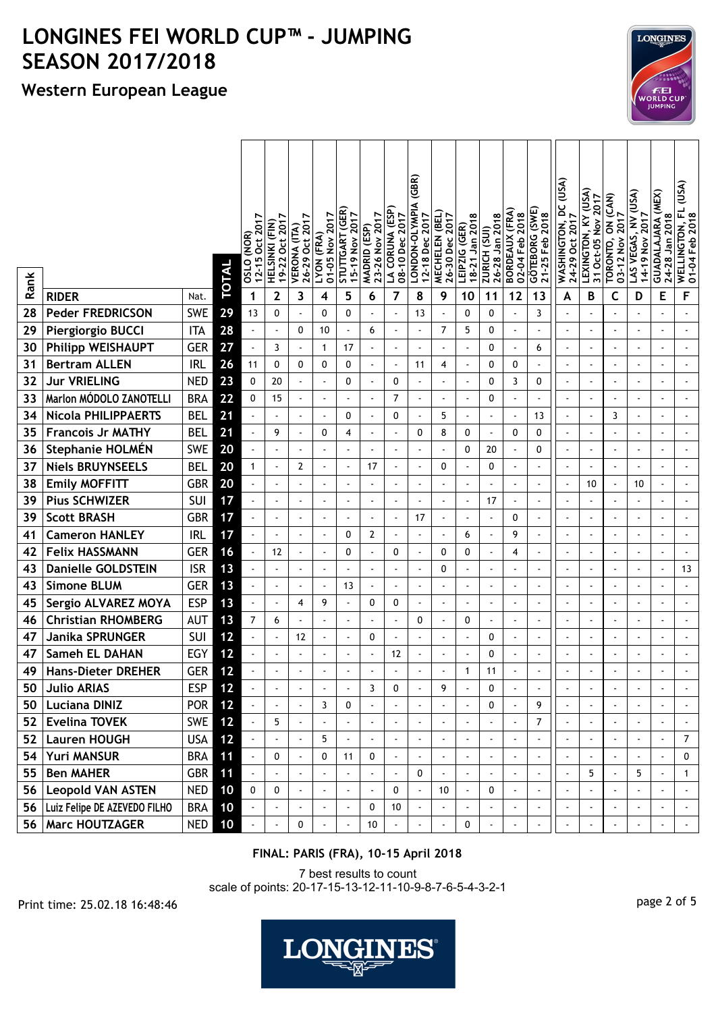## **Western European League**

|      |                                 |            | TOTAL | 12-15 Oct 2017<br>OSLO (NOR) | 19-22 Oct 2017<br>HELSINKI (FIN) | 26-29 Oct 2017<br><b>VERONA (ITA)</b> | 01-05 Nov 2017<br>LYON (FRA) | STUTTGART (GER)<br>15-19 Nov 2017 | 23-26 Nov 2017<br>MADRID (ESP) | LA CORUNA (ESP<br>08-10 Dec 2017 | (GBR)<br>LONDON-OLYMPIA<br>12-18 Dec 2017 | MECHELEN (BEL)<br>26-30 Dec 2017 | 18-21 Jan 2018<br>LEIPZIG (GER) | 26-28 Jan 2018<br>ZURICH (SUI) | BORDEAUX (FRA)<br>02-04 Feb 2018 | GÖTEBORG (SWE)<br>21-25 Feb 2018 | WASHINGTON, DC (USA)<br>24-29 Oct 2017 | LEXINGTON, KY (USA)<br>31 Oct-05 Nov 2017 | TORONTO, ON (CAN)<br>03-12 Nov 2017 | LAS VEGAS, NV (USA)<br>14-19 Nov 2017 | GUADALAJARA (MEX)<br>24-28 Jan 2018 | WELLINGTON, FL (USA)<br>01-04 Feb 2018 |
|------|---------------------------------|------------|-------|------------------------------|----------------------------------|---------------------------------------|------------------------------|-----------------------------------|--------------------------------|----------------------------------|-------------------------------------------|----------------------------------|---------------------------------|--------------------------------|----------------------------------|----------------------------------|----------------------------------------|-------------------------------------------|-------------------------------------|---------------------------------------|-------------------------------------|----------------------------------------|
| Rank | <b>RIDER</b>                    | Nat.       |       | 1                            | $\mathbf{2}$                     | 3                                     | 4                            | 5                                 | 6                              | 7                                | 8                                         | 9                                | 10                              | 11                             | 12                               | 13                               | A                                      | В                                         | C                                   | D                                     | E                                   | F                                      |
| 28   | <b>Peder FREDRICSON</b>         | <b>SWE</b> | 29    | 13                           | 0                                |                                       | 0                            | 0                                 |                                | ÷,                               | 13                                        | $\blacksquare$                   | $\mathbf{0}$                    | 0                              | ÷,                               | 3                                | ÷,                                     |                                           |                                     |                                       |                                     |                                        |
| 29   | Piergiorgio BUCCI               | <b>ITA</b> | 28    |                              | ÷,                               | 0                                     | 10                           | $\blacksquare$                    | 6                              |                                  | ÷,                                        | $\overline{7}$                   | 5                               | 0                              | $\ddot{\phantom{a}}$             | $\ddot{\phantom{0}}$             | ÷,                                     |                                           |                                     | ÷,                                    |                                     |                                        |
| 30   | Philipp WEISHAUPT               | <b>GER</b> | 27    |                              | 3                                |                                       | 1                            | 17                                | $\blacksquare$                 |                                  |                                           |                                  | $\overline{\phantom{a}}$        | 0                              | $\ddot{\phantom{a}}$             | 6                                | $\blacksquare$                         |                                           |                                     |                                       |                                     | $\overline{\phantom{a}}$               |
| 31   | <b>Bertram ALLEN</b>            | <b>IRL</b> | 26    | 11                           | 0                                | 0                                     | 0                            | 0                                 | $\blacksquare$                 | $\tilde{\phantom{a}}$            | 11                                        | 4                                | $\blacksquare$                  | 0                              | 0                                | $\blacksquare$                   | $\blacksquare$                         | $\overline{a}$                            | $\ddot{\phantom{a}}$                | $\overline{\phantom{a}}$              | $\blacksquare$                      | ä,                                     |
| 32   | <b>Jur VRIELING</b>             | <b>NED</b> | 23    | 0                            | 20                               |                                       | $\overline{\phantom{a}}$     | 0                                 | $\blacksquare$                 | 0                                | $\blacksquare$                            |                                  | $\ddot{\phantom{1}}$            | 0                              | 3                                | 0                                | $\frac{1}{2}$                          | $\overline{a}$                            | $\blacksquare$                      | $\blacksquare$                        |                                     | $\blacksquare$                         |
| 33   | Marlon MÓDOLO ZANOTELLI         | <b>BRA</b> | 22    | 0                            | 15                               |                                       | ÷,                           | $\blacksquare$                    | $\ddot{\phantom{0}}$           | 7                                |                                           | ÷,                               | $\blacksquare$                  | 0                              | $\overline{a}$                   | $\blacksquare$                   | $\blacksquare$                         |                                           |                                     | ä,                                    | $\blacksquare$                      | ä,                                     |
| 34   | <b>Nicola PHILIPPAERTS</b>      | <b>BEL</b> | 21    |                              | $\blacksquare$                   |                                       | ä,                           | 0                                 | $\blacksquare$                 | 0                                | ä,                                        | 5                                | $\blacksquare$                  |                                | $\overline{\phantom{a}}$         | 13                               | $\blacksquare$                         | $\blacksquare$                            | 3                                   | ä,                                    | $\blacksquare$                      | $\overline{\phantom{a}}$               |
| 35   | <b>Francois Jr MATHY</b>        | <b>BEL</b> | 21    |                              | 9                                |                                       | 0                            | 4                                 |                                |                                  | 0                                         | 8                                | 0                               |                                | 0                                | 0                                | $\blacksquare$                         |                                           |                                     |                                       |                                     | $\ddot{\phantom{0}}$                   |
| 36   | Stephanie HOLMÉN                | <b>SWE</b> | 20    |                              |                                  |                                       |                              | $\mathbf{r}$                      | $\blacksquare$                 |                                  |                                           | ÷,                               | 0                               | 20                             |                                  | 0                                | ÷,                                     |                                           |                                     |                                       |                                     |                                        |
| 37   | <b>Niels BRUYNSEELS</b>         | <b>BEL</b> | 20    | 1                            | $\blacksquare$                   | 2                                     | ÷,                           | $\blacksquare$                    | 17                             | $\tilde{\phantom{a}}$            |                                           | 0                                | $\ddot{\phantom{0}}$            | 0                              |                                  |                                  | $\blacksquare$                         |                                           |                                     |                                       |                                     |                                        |
| 38   | <b>Emily MOFFITT</b>            | GBR        | 20    |                              | $\blacksquare$                   |                                       | $\ddot{\phantom{a}}$         | $\blacksquare$                    | $\blacksquare$                 | $\tilde{\phantom{a}}$            | ä,                                        |                                  | ÷,                              |                                | ÷,                               | $\blacksquare$                   | ÷,                                     | 10                                        | ÷,                                  | 10                                    | $\blacksquare$                      | ä,                                     |
| 39   | <b>Pius SCHWIZER</b>            | SUI        | 17    |                              | $\blacksquare$                   |                                       | $\ddot{\phantom{0}}$         | $\blacksquare$                    | $\blacksquare$                 | $\tilde{\phantom{a}}$            |                                           | $\blacksquare$                   | $\blacksquare$                  | 17                             | $\blacksquare$                   | $\overline{a}$                   | $\blacksquare$                         | $\overline{a}$                            |                                     | $\blacksquare$                        | $\blacksquare$                      | $\blacksquare$                         |
| 39   | <b>Scott BRASH</b>              | GBR        | 17    |                              | ÷,                               |                                       |                              |                                   | ä,                             | ÷,                               | 17                                        | $\ddot{\phantom{0}}$             |                                 |                                | 0                                | ä,                               | ä,                                     |                                           |                                     | $\overline{a}$                        |                                     |                                        |
| 41   | <b>Cameron HANLEY</b>           | <b>IRL</b> | 17    |                              | ä,                               |                                       | L.                           | 0                                 | $\overline{2}$                 | $\tilde{\phantom{a}}$            | ÷.                                        | $\blacksquare$                   | 6                               |                                | 9                                | $\overline{a}$                   | $\blacksquare$                         | $\ddot{\phantom{1}}$                      |                                     | ä,                                    | ÷.                                  | $\overline{\phantom{a}}$               |
| 42   | <b>Felix HASSMANN</b>           | <b>GER</b> | 16    |                              | 12                               |                                       | $\ddot{\phantom{a}}$         | 0                                 | $\blacksquare$                 | 0                                | ä,                                        | $\mathbf 0$                      | 0                               |                                | 4                                | $\blacksquare$                   | $\ddot{\phantom{a}}$                   | $\overline{a}$                            | $\ddot{\phantom{a}}$                | ä,                                    | $\overline{\phantom{a}}$            | $\overline{a}$                         |
| 43   | <b>Danielle GOLDSTEIN</b>       | <b>ISR</b> | 13    |                              | ÷,                               |                                       | $\ddot{\phantom{a}}$         |                                   |                                | $\tilde{\phantom{a}}$            |                                           | $\mathbf 0$                      | $\ddot{\phantom{0}}$            |                                | $\ddot{\phantom{0}}$             | $\blacksquare$                   | $\blacksquare$                         |                                           | $\ddot{\phantom{a}}$                |                                       |                                     | 13                                     |
| 43   | <b>Simone BLUM</b>              | <b>GER</b> | 13    |                              | ÷,                               |                                       |                              | 13                                |                                |                                  |                                           |                                  |                                 |                                |                                  |                                  | $\blacksquare$                         |                                           |                                     |                                       |                                     |                                        |
| 45   | Sergio ALVAREZ MOYA             | <b>ESP</b> | 13    |                              | $\blacksquare$                   | 4                                     | 9                            | $\mathbf{r}$                      | 0                              | 0                                |                                           | $\blacksquare$                   | $\blacksquare$                  | $\blacksquare$                 | $\blacksquare$                   | $\blacksquare$                   | $\sim$                                 | $\blacksquare$                            |                                     | ä,                                    | $\blacksquare$                      | $\ddot{\phantom{0}}$                   |
| 46   | <b>Christian RHOMBERG</b>       | AUT        | 13    | 7                            | 6                                |                                       |                              | $\blacksquare$                    | $\blacksquare$                 |                                  | 0                                         | $\blacksquare$                   | 0                               | $\overline{\phantom{a}}$       | $\blacksquare$                   | $\overline{a}$                   | $\blacksquare$                         | $\overline{\phantom{a}}$                  |                                     | $\blacksquare$                        |                                     | $\blacksquare$                         |
| 47   | Janika SPRUNGER                 | SUI        | 12    |                              | ÷,                               | 12                                    | $\overline{\phantom{a}}$     | $\mathbf{r}$                      | 0                              | $\sim$                           |                                           | $\blacksquare$                   | ä,                              | 0                              | $\blacksquare$                   | $\overline{a}$                   | $\blacksquare$                         | $\blacksquare$                            |                                     | $\overline{\phantom{a}}$              | $\blacksquare$                      | L.                                     |
| 47   | Sameh EL DAHAN                  | EGY        | 12    |                              | $\ddot{\phantom{1}}$             |                                       |                              |                                   |                                | 12                               |                                           |                                  | $\blacksquare$                  | 0                              | $\ddot{\phantom{a}}$             |                                  | $\ddot{\phantom{1}}$                   |                                           | $\ddot{\phantom{1}}$                | $\ddot{\phantom{1}}$                  |                                     |                                        |
| 49   | <b>Hans-Dieter DREHER</b>       | <b>GER</b> | 12    |                              |                                  |                                       |                              |                                   |                                |                                  |                                           |                                  | $\mathbf{1}$                    | 11                             |                                  |                                  |                                        |                                           |                                     |                                       |                                     |                                        |
| 50   | <b>Julio ARIAS</b>              | <b>ESP</b> | 12    |                              | $\blacksquare$                   |                                       |                              |                                   | 3                              | 0                                |                                           | 9                                | $\ddot{\phantom{0}}$            | 0                              |                                  |                                  | $\blacksquare$                         |                                           |                                     |                                       |                                     | $\blacksquare$                         |
|      | 50 Luciana DINIZ                | <b>POR</b> | $12$  |                              |                                  |                                       | 3                            | 0                                 |                                |                                  |                                           |                                  |                                 | 0                              |                                  | 9                                |                                        |                                           |                                     |                                       |                                     |                                        |
|      | 52 Evelina TOVEK                | SWE        | $12$  |                              | 5                                |                                       | ÷,                           | $\blacksquare$                    | $\blacksquare$                 |                                  |                                           |                                  | $\blacksquare$                  |                                | $\ddot{\phantom{a}}$             | $\overline{7}$                   | $\blacksquare$                         | $\blacksquare$                            |                                     |                                       |                                     | $\blacksquare$                         |
|      | 52   Lauren HOUGH               | <b>USA</b> | $12$  |                              |                                  | $\blacksquare$                        | 5                            | ÷.                                | $\ddot{\phantom{a}}$           | ä,                               | ÷,                                        | $\overline{a}$                   | $\blacksquare$                  | ä,                             | ÷,                               |                                  | $\blacksquare$                         | $\blacksquare$                            | $\ddot{\phantom{a}}$                | $\overline{a}$                        | $\blacksquare$                      | $\overline{7}$                         |
|      | 54 Yuri MANSUR                  | <b>BRA</b> | $11$  |                              | 0                                |                                       | 0                            | 11                                | 0                              | $\blacksquare$                   |                                           |                                  |                                 |                                | $\blacksquare$                   |                                  | ÷,                                     |                                           |                                     |                                       |                                     | 0                                      |
|      | 55   Ben MAHER                  | GBR        | 11    |                              |                                  |                                       | ÷,                           | $\blacksquare$                    |                                |                                  | 0                                         | ÷,                               | ä,                              |                                | ÷,                               |                                  | $\blacksquare$                         | 5                                         |                                     | 5                                     |                                     | $\mathbf{1}$                           |
|      | 56   Leopold VAN ASTEN          | <b>NED</b> | 10    | 0                            | 0                                |                                       |                              | $\mathbf{r}$                      |                                | 0                                |                                           | 10                               | $\blacksquare$                  | 0                              | ÷,                               |                                  | $\blacksquare$                         |                                           |                                     |                                       |                                     |                                        |
|      | 56 Luiz Felipe DE AZEVEDO FILHO | <b>BRA</b> | 10    |                              |                                  |                                       | $\blacksquare$               | $\blacksquare$                    | 0                              | 10                               |                                           | $\blacksquare$                   | $\blacksquare$                  |                                | $\blacksquare$                   |                                  | $\qquad \qquad \blacksquare$           |                                           |                                     |                                       |                                     | $\blacksquare$                         |
|      | 56   Marc HOUTZAGER             | <b>NED</b> | 10    |                              |                                  | 0                                     |                              | $\blacksquare$                    | $10$                           |                                  |                                           |                                  | 0                               |                                | ÷,                               |                                  | ÷,                                     |                                           |                                     |                                       | $\blacksquare$                      | $\omega$                               |

#### **FINAL: PARIS (FRA), 10-15 April 2018**

7 best results to count scale of points: 20-17-15-13-12-11-10-9-8-7-6-5-4-3-2-1

page 2 of 5 Print time: 25.02.18 16:48:46



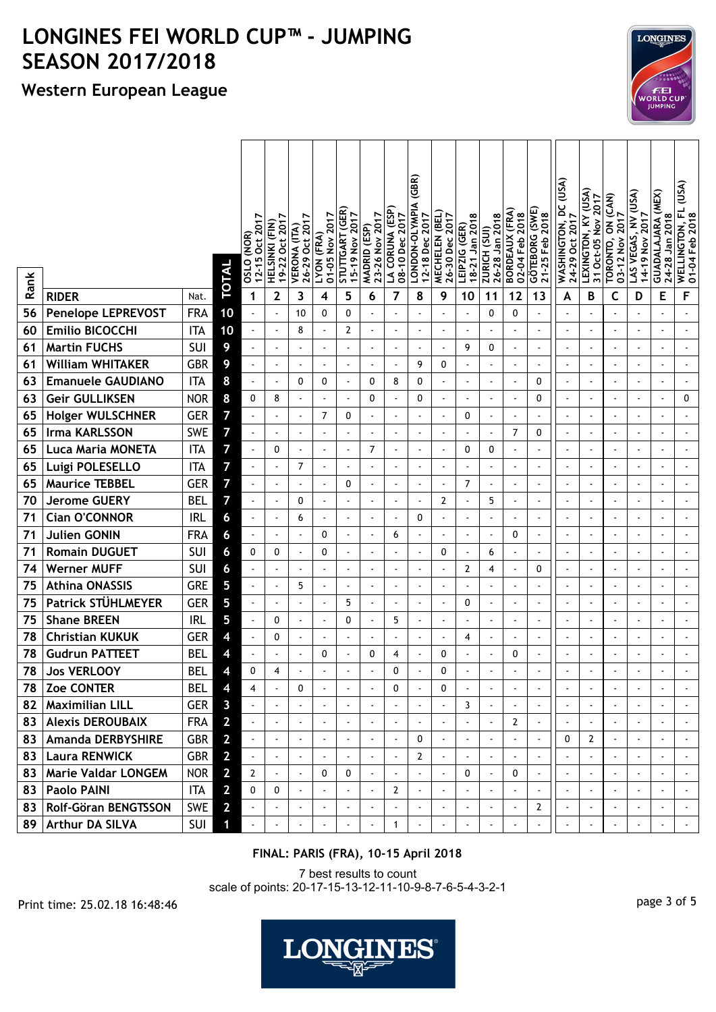## **Western European League**

|      |                          |            | TOTAL          | 12-15 Oct 2017<br><b>OSLO (NOR)</b> | 19-22 Oct 2017<br>HELSINKI (FIN) | 26-29 Oct 2017<br>VERONA (ITA) | 01-05 Nov 2017<br>LYON (FRA) | STUTTGART (GER)<br>15-19 Nov 2017 | 23-26 Nov 2017<br>MADRID (ESP) | LA CORUNA (ESP<br>08-10 Dec 2017 | (GBR)<br>LONDON-OLYMPIA<br>12-18 Dec 2017 | MECHELEN (BEL<br>26-30 Dec 2017 | 18-21 Jan 2018<br>LEIPZIG (GER) | 26-28 Jan 2018<br>ZURICH (SUI) | BORDEAUX (FRA)<br>02-04 Feb 2018 | GÖTEBORG (SWE<br>21-25 Feb 2018 | WASHINGTON, DC (USA)<br>24-29 Oct 2017 | LEXINGTON, KY (USA)<br>31 Oct-05 Nov 2017 | TORONTO, ON (CAN)<br>03-12 Nov 2017 | LAS VEGAS, NV (USA)<br>14-19 Nov 2017 | GUADALAJARA (MEX)<br>24-28 Jan 2018 | WELLINGTON, FL (USA)<br>01-04 Feb 2018  |
|------|--------------------------|------------|----------------|-------------------------------------|----------------------------------|--------------------------------|------------------------------|-----------------------------------|--------------------------------|----------------------------------|-------------------------------------------|---------------------------------|---------------------------------|--------------------------------|----------------------------------|---------------------------------|----------------------------------------|-------------------------------------------|-------------------------------------|---------------------------------------|-------------------------------------|-----------------------------------------|
| Rank | <b>RIDER</b>             | Nat.       |                | 1                                   | $\mathbf{2}$                     | 3                              | 4                            | 5                                 | 6                              | 7                                | 8                                         | 9                               | 10                              | 11                             | 12                               | 13                              | A                                      | В                                         | C                                   | D                                     | E                                   | F                                       |
| 56   | Penelope LEPREVOST       | <b>FRA</b> | 10             |                                     | $\blacksquare$                   | 10                             | 0                            | 0                                 |                                |                                  |                                           |                                 | $\ddot{\phantom{0}}$            | 0                              | 0                                |                                 | $\blacksquare$                         |                                           |                                     |                                       |                                     | ä,                                      |
| 60   | <b>Emilio BICOCCHI</b>   | <b>ITA</b> | 10             |                                     |                                  | 8                              |                              | 2                                 |                                | $\overline{\phantom{a}}$         |                                           | ÷,                              |                                 |                                |                                  | $\blacksquare$                  | $\blacksquare$                         |                                           |                                     | $\overline{a}$                        |                                     |                                         |
| 61   | <b>Martin FUCHS</b>      | SUI        | 9              |                                     | ä,                               |                                |                              |                                   |                                | $\ddot{\phantom{a}}$             |                                           | $\sim$                          | 9                               | 0                              | $\ddot{\phantom{a}}$             |                                 | $\overline{a}$                         |                                           |                                     | ä,                                    |                                     | $\overline{\phantom{a}}$                |
| 61   | <b>William WHITAKER</b>  | <b>GBR</b> | 9              |                                     | $\overline{a}$                   | $\overline{a}$                 | $\sim$                       | $\bullet$                         | $\blacksquare$                 | $\blacksquare$                   | 9                                         | 0                               | $\ddot{\phantom{0}}$            | $\overline{a}$                 | ÷,                               | $\blacksquare$                  | $\blacksquare$                         | $\blacksquare$                            | $\ddot{\phantom{a}}$                | ä,                                    | $\sim$                              | $\blacksquare$                          |
| 63   | <b>Emanuele GAUDIANO</b> | <b>ITA</b> | 8              | $\blacksquare$                      | $\blacksquare$                   | 0                              | 0                            | $\blacksquare$                    | 0                              | 8                                | 0                                         | $\blacksquare$                  | $\ddot{\phantom{0}}$            | $\blacksquare$                 | $\blacksquare$                   | 0                               | $\blacksquare$                         | $\blacksquare$                            | $\blacksquare$                      | ä,                                    | $\blacksquare$                      | $\blacksquare$                          |
| 63   | <b>Geir GULLIKSEN</b>    | <b>NOR</b> | 8              | 0                                   | 8                                |                                |                              |                                   | 0                              |                                  | 0                                         |                                 | $\ddot{\phantom{0}}$            |                                |                                  | 0                               | $\blacksquare$                         |                                           |                                     |                                       |                                     | 0                                       |
| 65   | <b>Holger WULSCHNER</b>  | <b>GER</b> | 7              |                                     | $\blacksquare$                   | $\blacksquare$                 | $\overline{7}$               | 0                                 |                                | $\blacksquare$                   |                                           | $\overline{\phantom{a}}$        | 0                               | $\blacksquare$                 |                                  |                                 | $\blacksquare$                         | $\blacksquare$                            |                                     | $\blacksquare$                        |                                     | $\blacksquare$                          |
| 65   | <b>Irma KARLSSON</b>     | <b>SWE</b> | 7              |                                     | $\blacksquare$                   | $\overline{a}$                 | $\overline{\phantom{a}}$     |                                   | $\overline{\phantom{a}}$       | $\blacksquare$                   |                                           | $\blacksquare$                  | $\blacksquare$                  | $\blacksquare$                 | 7                                | 0                               | $\blacksquare$                         | $\overline{\phantom{a}}$                  | $\overline{\phantom{a}}$            | $\blacksquare$                        |                                     | $\blacksquare$                          |
| 65   | <b>Luca Maria MONETA</b> | <b>ITA</b> | 7              |                                     | 0                                |                                | ÷,                           |                                   | 7                              |                                  |                                           | $\overline{\phantom{a}}$        | 0                               | 0                              |                                  | $\overline{a}$                  | $\blacksquare$                         |                                           |                                     | $\overline{a}$                        | $\blacksquare$                      |                                         |
| 65   | Luigi POLESELLO          | <b>ITA</b> | $\overline{7}$ |                                     | $\blacksquare$                   | 7                              |                              |                                   |                                | $\overline{\phantom{a}}$         |                                           |                                 | $\blacksquare$                  |                                |                                  |                                 | $\blacksquare$                         |                                           |                                     | $\overline{a}$                        |                                     |                                         |
| 65   | <b>Maurice TEBBEL</b>    | <b>GER</b> | 7              |                                     | ÷,                               |                                |                              | 0                                 | $\blacksquare$                 | $\ddot{\phantom{a}}$             | ä,                                        |                                 | 7                               |                                | ÷,                               | ä,                              | $\blacksquare$                         | $\blacksquare$                            |                                     | ä,                                    |                                     |                                         |
| 70   | <b>Jerome GUERY</b>      | <b>BEL</b> | 7              |                                     | $\blacksquare$                   | 0                              | $\blacksquare$               |                                   | $\blacksquare$                 | $\blacksquare$                   |                                           | $\overline{2}$                  | $\ddot{\phantom{1}}$            | 5                              | $\blacksquare$                   | $\overline{a}$                  | $\blacksquare$                         | $\blacksquare$                            |                                     | $\blacksquare$                        | $\overline{a}$                      | $\blacksquare$                          |
| 71   | Cian O'CONNOR            | <b>IRL</b> | 6              |                                     | $\overline{a}$                   | 6                              | $\overline{\phantom{a}}$     |                                   |                                | $\overline{\phantom{a}}$         | 0                                         |                                 |                                 |                                | $\ddot{\phantom{0}}$             |                                 | ä,                                     |                                           |                                     | $\overline{\phantom{a}}$              |                                     |                                         |
| 71   | <b>Julien GONIN</b>      | <b>FRA</b> | 6              |                                     | $\ddot{\phantom{a}}$             |                                | 0                            |                                   |                                | 6                                |                                           | L.                              | $\blacksquare$                  |                                | 0                                |                                 | $\overline{a}$                         | $\blacksquare$                            |                                     | ä,                                    |                                     | $\overline{\phantom{a}}$                |
| 71   | <b>Romain DUGUET</b>     | SUI        | 6              | 0                                   | 0                                | $\blacksquare$                 | 0                            | $\bullet$                         | $\sim$                         | $\blacksquare$                   | ÷,                                        | 0                               | $\blacksquare$                  | 6                              | ÷,                               | $\blacksquare$                  | $\blacksquare$                         | $\overline{a}$                            | $\ddot{\phantom{a}}$                | ä,                                    | $\sim$                              | ä,                                      |
| 74   | <b>Werner MUFF</b>       | SUI        | 6              |                                     | ä,                               |                                | ÷                            |                                   |                                | $\overline{\phantom{a}}$         |                                           |                                 | 2                               | 4                              | $\ddot{\phantom{0}}$             | 0                               | $\blacksquare$                         |                                           | $\overline{\phantom{a}}$            | ÷,                                    |                                     | ä,                                      |
| 75   | <b>Athina ONASSIS</b>    | GRE        | 5              |                                     | ÷,                               | 5                              |                              |                                   |                                |                                  |                                           |                                 |                                 |                                |                                  |                                 | $\blacksquare$                         |                                           |                                     |                                       |                                     |                                         |
| 75   | Patrick STUHLMEYER       | <b>GER</b> | 5              |                                     | $\blacksquare$                   |                                | $\overline{\phantom{a}}$     | 5                                 | $\blacksquare$                 | $\blacksquare$                   |                                           | $\blacksquare$                  | 0                               | $\blacksquare$                 |                                  | $\blacksquare$                  | $\sim$                                 | $\blacksquare$                            |                                     | $\blacksquare$                        |                                     | $\ddot{\phantom{a}}$                    |
| 75   | <b>Shane BREEN</b>       | <b>IRL</b> | 5              | $\blacksquare$                      | 0                                | $\overline{a}$                 | $\overline{\phantom{a}}$     | 0                                 | $\overline{\phantom{a}}$       | 5                                |                                           | $\blacksquare$                  | $\blacksquare$                  | $\overline{\phantom{a}}$       | $\ddot{\phantom{0}}$             | $\blacksquare$                  | $\overline{\phantom{a}}$               | $\overline{\phantom{a}}$                  | $\overline{\phantom{a}}$            | $\overline{\phantom{a}}$              |                                     | $\ddot{\phantom{1}}$                    |
| 78   | <b>Christian KUKUK</b>   | <b>GER</b> | 4              |                                     | 0                                | $\blacksquare$                 | $\blacksquare$               | $\blacksquare$                    | $\blacksquare$                 |                                  | $\ddot{\phantom{0}}$                      | $\blacksquare$                  | 4                               |                                | $\blacksquare$                   | $\blacksquare$                  | $\blacksquare$                         | $\overline{\phantom{a}}$                  |                                     | $\overline{\phantom{a}}$              | $\overline{\phantom{a}}$            | $\overline{a}$                          |
| 78   | <b>Gudrun PATTEET</b>    | <b>BEL</b> | 4              |                                     | $\blacksquare$                   | $\ddot{\phantom{1}}$           | 0                            |                                   | 0                              | 4                                |                                           | 0                               | $\overline{a}$                  |                                | 0                                |                                 | $\ddot{\phantom{1}}$                   | $\ddot{\phantom{1}}$                      | $\ddot{\phantom{1}}$                | $\blacksquare$                        |                                     | ÷.                                      |
| 78   | <b>Jos VERLOOY</b>       | <b>BEL</b> | 4              | 0                                   | 4                                |                                |                              |                                   |                                | 0                                |                                           | 0                               |                                 |                                |                                  |                                 |                                        |                                           |                                     |                                       |                                     |                                         |
|      | 78 Zoe CONTER            | BEL        | $\overline{4}$ | 4                                   | $\blacksquare$                   | 0                              |                              |                                   | $\overline{\phantom{a}}$       | 0                                |                                           | 0                               | $\overline{a}$                  |                                |                                  |                                 | $\blacksquare$                         |                                           |                                     |                                       |                                     | $\blacksquare$                          |
|      | 82   Maximilian LILL     | <b>GER</b> | $\mathbf{3}$   |                                     |                                  |                                |                              |                                   |                                |                                  |                                           |                                 | 3                               |                                |                                  |                                 |                                        |                                           |                                     |                                       |                                     |                                         |
|      | 83 Alexis DEROUBAIX      | <b>FRA</b> | $\overline{2}$ |                                     |                                  |                                |                              |                                   | $\sim$                         | $\hat{\phantom{a}}$              |                                           | $\blacksquare$                  | $\blacksquare$                  |                                | 2                                | $\blacksquare$                  | $\blacksquare$                         | $\blacksquare$                            |                                     |                                       |                                     | $\mathbf{r}$                            |
|      | 83   Amanda DERBYSHIRE   | GBR        | $\overline{2}$ |                                     |                                  |                                |                              |                                   |                                | $\blacksquare$                   | 0                                         | $\blacksquare$                  | $\blacksquare$                  |                                |                                  | $\blacksquare$                  | 0                                      | $\mathbf{2}$                              |                                     |                                       |                                     | $\blacksquare$                          |
|      | 83   Laura RENWICK       | GBR        | $\overline{2}$ |                                     | $\blacksquare$                   |                                | $\blacksquare$               |                                   |                                | $\blacksquare$                   | 2                                         | $\blacksquare$                  | $\blacksquare$                  |                                | $\blacksquare$                   |                                 |                                        |                                           |                                     |                                       |                                     |                                         |
|      | 83   Marie Valdar LONGEM | <b>NOR</b> | $\mathbf{2}$   | $\overline{2}$                      |                                  |                                | 0                            | 0                                 |                                |                                  |                                           |                                 | 0                               |                                | 0                                |                                 |                                        |                                           |                                     |                                       |                                     |                                         |
|      | 83   Paolo PAINI         | ITA        | $\overline{2}$ | 0                                   | 0                                |                                |                              |                                   | $\overline{\phantom{a}}$       | 2                                |                                           |                                 |                                 |                                |                                  |                                 |                                        | $\blacksquare$                            |                                     |                                       |                                     | $\blacksquare$                          |
|      | 83 Rolf-Göran BENGTSSON  | SWE        | $\overline{2}$ |                                     |                                  | $\blacksquare$                 | $\overline{\phantom{a}}$     |                                   | $\overline{\phantom{a}}$       | $\blacksquare$                   |                                           | $\blacksquare$                  | $\blacksquare$                  |                                | $\overline{\phantom{a}}$         | 2                               | $\overline{\phantom{a}}$               | $\blacksquare$                            |                                     |                                       | $\blacksquare$                      | $\blacksquare$<br>$\mathbf{a}^{\prime}$ |
|      | 89   Arthur DA SILVA     | <b>SUI</b> | 1              |                                     | $\blacksquare$                   |                                |                              |                                   |                                | $\mathbf{1}$                     | ÷,                                        | $\blacksquare$                  | ÷,                              |                                | ÷,                               |                                 | ÷,                                     |                                           |                                     |                                       | $\blacksquare$                      |                                         |

#### **FINAL: PARIS (FRA), 10-15 April 2018**

7 best results to count scale of points: 20-17-15-13-12-11-10-9-8-7-6-5-4-3-2-1

page 3 of 5 Print time: 25.02.18 16:48:46



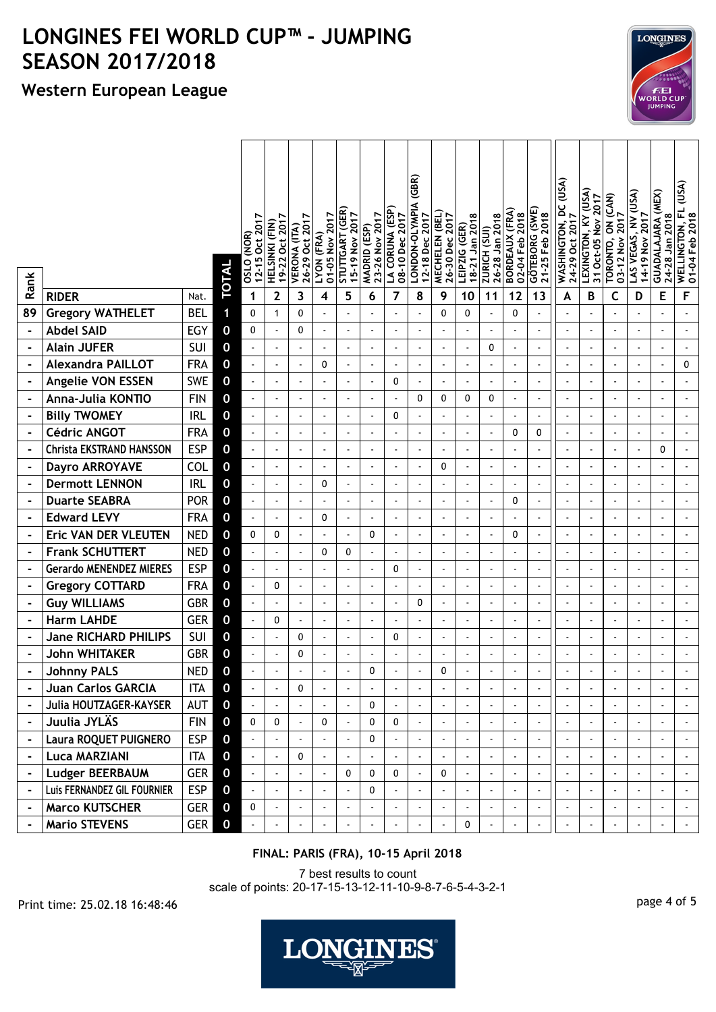## **Western European League**

|                |                                 |            | TOTAL            | 12-15 Oct 2017<br>(NOR)<br>0210 | 19-22 Oct 2017<br>HELSINKI (FIN) | 26-29 Oct 2017<br>VERONA (ITA) | 01-05 Nov 2017<br>LYON (FRA) | STUTTGART (GER)<br>15-19 Nov 2017 | 23-26 Nov 2017<br>MADRID (ESP) | LA CORUNA (ESP<br>08-10 Dec 2017 | (GBR)<br>LONDON-OLYMPIA<br>12-18 Dec 2017 | <b>WECHELEN (BEL</b><br>26-30 Dec 2017 | 18-21 Jan 2018<br>LEIPZIG (GER) | 26-28 Jan 2018<br>ZURICH (SUI) | <b>BORDEAUX (FRA)</b><br>02-04 Feb 2018 | GÖTEBORG (SWE<br>21-25 Feb 2018 | WASHINGTON, DC (USA)<br>24-29 Oct 2017 | LEXINGTON, KY (USA)<br>31 Oct-05 Nov 2017 | TORONTO, ON (CAN)<br>03-12 Nov 2017 | LAS VEGAS, NV (USA)<br>14-19 Nov 2017 | <b>GUADALAJARA (MEX)</b><br>24-28 Jan 2018 | (USA)<br>WELLINGTON, FL<br>01-04 Feb 2018 |
|----------------|---------------------------------|------------|------------------|---------------------------------|----------------------------------|--------------------------------|------------------------------|-----------------------------------|--------------------------------|----------------------------------|-------------------------------------------|----------------------------------------|---------------------------------|--------------------------------|-----------------------------------------|---------------------------------|----------------------------------------|-------------------------------------------|-------------------------------------|---------------------------------------|--------------------------------------------|-------------------------------------------|
| Rank           | <b>RIDER</b>                    | Nat.       |                  | 1                               | 2                                | 3                              | 4                            | 5                                 | 6                              | 7                                | 8                                         | 9                                      | 10                              | 11                             | 12                                      | 13                              | A                                      | B                                         | c                                   | D                                     | E                                          | F                                         |
| 89             | <b>Gregory WATHELET</b>         | <b>BEL</b> | 1                | 0                               | $\mathbf{1}$                     | $\mathbf{0}$                   |                              |                                   |                                |                                  |                                           | $\Omega$                               | 0                               |                                | $\mathbf{0}$                            |                                 |                                        |                                           |                                     |                                       |                                            |                                           |
|                | <b>Abdel SAID</b>               | <b>EGY</b> | 0                | 0                               |                                  | 0                              |                              |                                   |                                |                                  |                                           |                                        |                                 |                                |                                         |                                 |                                        |                                           |                                     |                                       |                                            |                                           |
|                | <b>Alain JUFER</b>              | SUI        | $\mathbf 0$      |                                 | $\mathbf{r}$                     | $\blacksquare$                 |                              |                                   |                                | $\sim$                           |                                           | ÷,                                     | $\mathbf{r}$                    | 0                              | $\blacksquare$                          |                                 |                                        |                                           |                                     | ä,                                    |                                            | $\overline{\phantom{a}}$                  |
|                | <b>Alexandra PAILLOT</b>        | <b>FRA</b> | $\bf{0}$         |                                 | $\blacksquare$                   |                                | 0                            |                                   | $\blacksquare$                 |                                  |                                           | $\ddot{\phantom{0}}$                   | $\blacksquare$                  |                                | $\blacksquare$                          |                                 | $\blacksquare$                         |                                           |                                     | ä,                                    | $\blacksquare$                             | 0                                         |
|                | Angelie VON ESSEN               | <b>SWE</b> | $\mathbf 0$      |                                 |                                  |                                |                              |                                   |                                | 0                                |                                           | $\overline{\phantom{a}}$               | $\mathbf{r}$                    |                                |                                         |                                 |                                        |                                           |                                     | ÷,                                    |                                            |                                           |
|                | Anna-Julia KONTIO               | <b>FIN</b> | $\bf{0}$         | ÷,                              |                                  |                                |                              |                                   |                                |                                  | 0                                         | 0                                      | 0                               | 0                              | $\blacksquare$                          |                                 |                                        |                                           |                                     | ä,                                    |                                            |                                           |
|                | <b>Billy TWOMEY</b>             | <b>IRL</b> | $\boldsymbol{0}$ |                                 | $\mathbf{r}$                     | $\blacksquare$                 |                              | $\blacksquare$                    | $\sim$                         | $\mathbf{0}$                     |                                           |                                        | ä,                              | ä,                             |                                         | ÷,                              | $\overline{\phantom{a}}$               | $\ddot{\phantom{a}}$                      |                                     | ä,                                    | $\sim$                                     | ä,                                        |
|                | <b>Cédric ANGOT</b>             | <b>FRA</b> | $\bf{0}$         | ÷,                              |                                  |                                |                              |                                   |                                | $\sim$                           |                                           | $\ddot{\phantom{0}}$                   | $\overline{a}$                  |                                | 0                                       | 0                               | $\blacksquare$                         |                                           | $\ddot{\phantom{a}}$                | $\overline{a}$                        |                                            | $\overline{\phantom{a}}$                  |
|                | <b>Christa EKSTRAND HANSSON</b> | <b>ESP</b> | $\bf{0}$         |                                 |                                  |                                |                              |                                   |                                |                                  |                                           |                                        |                                 |                                |                                         |                                 |                                        |                                           |                                     |                                       | 0                                          |                                           |
|                | <b>Dayro ARROYAVE</b>           | COL        | $\bf{0}$         |                                 | $\mathbf{r}$                     |                                |                              |                                   |                                | ÷.                               |                                           | 0                                      | $\overline{a}$                  |                                |                                         |                                 |                                        |                                           |                                     | $\overline{a}$                        |                                            |                                           |
|                | <b>Dermott LENNON</b>           | <b>IRL</b> | $\bf{0}$         | $\ddot{\phantom{a}}$            | $\blacksquare$                   | $\ddot{\phantom{0}}$           | 0                            | $\overline{a}$                    | $\blacksquare$                 | $\blacksquare$                   |                                           | ÷,                                     | $\blacksquare$                  |                                | $\blacksquare$                          | $\ddot{\phantom{a}}$            | $\overline{a}$                         | $\ddot{\phantom{a}}$                      | $\blacksquare$                      | ä,                                    | $\blacksquare$                             | $\blacksquare$                            |
|                | <b>Duarte SEABRA</b>            | <b>POR</b> | $\bf{0}$         |                                 | $\mathbf{r}$                     |                                |                              |                                   |                                |                                  |                                           | L.                                     |                                 |                                | 0                                       |                                 |                                        |                                           |                                     | ÷,                                    |                                            |                                           |
|                | <b>Edward LEVY</b>              | <b>FRA</b> | $\bf{0}$         |                                 | $\mathbf{r}$                     | ä,                             | 0                            |                                   |                                | ä,                               |                                           |                                        | ÷.                              |                                |                                         |                                 |                                        |                                           |                                     | ÷,                                    |                                            |                                           |
|                | Eric VAN DER VLEUTEN            | <b>NED</b> | $\mathbf 0$      | 0                               | 0                                | $\blacksquare$                 |                              |                                   | 0                              | $\sim$                           |                                           |                                        |                                 |                                | 0                                       |                                 |                                        |                                           |                                     | ÷,                                    |                                            |                                           |
|                | <b>Frank SCHUTTERT</b>          | <b>NED</b> | $\bf{0}$         |                                 | $\blacksquare$                   |                                | 0                            | 0                                 |                                | $\tilde{\phantom{a}}$            |                                           | ÷,                                     | $\blacksquare$                  |                                |                                         |                                 |                                        |                                           |                                     | $\blacksquare$                        |                                            |                                           |
|                | <b>Gerardo MENENDEZ MIERES</b>  | <b>ESP</b> | $\mathbf 0$      |                                 | $\blacksquare$                   |                                |                              |                                   |                                | 0                                |                                           |                                        | ä,                              |                                |                                         |                                 |                                        |                                           |                                     | ÷,                                    |                                            |                                           |
|                | <b>Gregory COTTARD</b>          | <b>FRA</b> | $\mathbf 0$      | $\overline{a}$                  | 0                                | $\ddot{\phantom{1}}$           |                              | $\overline{a}$                    |                                | ÷.                               |                                           | $\overline{a}$                         | $\overline{a}$                  |                                |                                         |                                 |                                        |                                           |                                     | $\overline{\phantom{a}}$              |                                            |                                           |
|                | <b>Guy WILLIAMS</b>             | <b>GBR</b> | $\bf{0}$         |                                 | $\mathbf{r}$                     | $\blacksquare$                 | $\sim$                       | $\ddot{\phantom{a}}$              | $\sim$                         | $\hat{\phantom{a}}$              | 0                                         | $\ddot{\phantom{0}}$                   | $\mathbf{r}$                    | $\overline{a}$                 | $\sim$                                  | ä,                              | $\overline{\phantom{a}}$               | $\ddot{\phantom{a}}$                      | ÷,                                  | ä,                                    | $\blacksquare$                             | ä,                                        |
|                | <b>Harm LAHDE</b>               | <b>GER</b> | $\bf{0}$         | $\ddot{\phantom{0}}$            | 0                                | $\blacksquare$                 | $\blacksquare$               |                                   |                                | $\blacksquare$                   |                                           | $\ddot{\phantom{0}}$                   | $\blacksquare$                  |                                | $\blacksquare$                          |                                 | $\overline{a}$                         |                                           | $\ddot{\phantom{a}}$                | $\overline{\phantom{a}}$              |                                            | $\overline{\phantom{a}}$                  |
|                | <b>Jane RICHARD PHILIPS</b>     | SUI        | $\bf{0}$         |                                 | $\mathbf{r}$                     | 0                              |                              |                                   | $\sim$                         | 0                                |                                           | ÷,                                     | $\overline{\phantom{a}}$        |                                |                                         |                                 |                                        |                                           |                                     | ÷,                                    |                                            |                                           |
|                | <b>John WHITAKER</b>            | <b>GBR</b> | $\bf{0}$         |                                 |                                  | 0                              |                              |                                   |                                | ÷.                               |                                           |                                        |                                 |                                |                                         |                                 |                                        |                                           |                                     | $\overline{a}$                        |                                            |                                           |
|                | <b>Johnny PALS</b>              | <b>NED</b> | 0                |                                 |                                  |                                |                              |                                   | $\mathbf{0}$                   |                                  |                                           | $\Omega$                               |                                 |                                |                                         |                                 |                                        |                                           |                                     |                                       |                                            |                                           |
|                | Juan Carlos GARCIA              | <b>ITA</b> | $\mathbf 0$      |                                 |                                  | 0                              |                              |                                   |                                |                                  |                                           |                                        |                                 |                                |                                         |                                 |                                        |                                           |                                     |                                       |                                            |                                           |
|                | Julia HOUTZAGER-KAYSER          | AUT        | $\mathbf 0$      |                                 |                                  |                                |                              |                                   | 0                              |                                  |                                           |                                        |                                 |                                |                                         |                                 |                                        |                                           |                                     |                                       |                                            |                                           |
| $\blacksquare$ | Juulia JYLÄS                    | <b>FIN</b> | $\mathbf 0$      | 0                               | 0                                | $\mathbf{r}$                   | 0                            | ä,                                | 0                              | $\mathbf 0$                      |                                           | L.                                     | $\blacksquare$                  |                                |                                         |                                 |                                        |                                           |                                     |                                       |                                            |                                           |
|                | Laura ROQUET PUIGNERO           | <b>ESP</b> | $\mathbf 0$      |                                 |                                  |                                |                              |                                   | 0                              |                                  |                                           |                                        | $\blacksquare$                  |                                |                                         |                                 |                                        |                                           |                                     |                                       |                                            |                                           |
|                | <b>Luca MARZIANI</b>            | <b>ITA</b> | $\mathbf 0$      |                                 | $\mathbf{r}$                     | 0                              |                              |                                   |                                |                                  |                                           |                                        | $\mathbf{r}$                    |                                |                                         |                                 |                                        |                                           |                                     | ä,                                    |                                            |                                           |
|                | <b>Ludger BEERBAUM</b>          | <b>GER</b> | $\mathbf 0$      |                                 | $\mathbf{r}$                     |                                |                              | 0                                 | 0                              | $\mathbf 0$                      |                                           | $\pmb{0}$                              | $\omega$                        |                                | $\mathbf{r}$                            |                                 |                                        |                                           |                                     | $\omega$                              |                                            |                                           |
|                | Luis FERNANDEZ GIL FOURNIER     | <b>ESP</b> | $\mathbf 0$      |                                 | $\blacksquare$                   |                                |                              |                                   | 0                              |                                  |                                           |                                        | $\blacksquare$                  |                                | $\blacksquare$                          |                                 |                                        |                                           |                                     | ä,                                    |                                            | $\blacksquare$                            |
|                | <b>Marco KUTSCHER</b>           | <b>GER</b> | $\mathbf 0$      | 0                               |                                  |                                |                              |                                   |                                |                                  |                                           | $\blacksquare$                         | $\blacksquare$                  |                                | $\blacksquare$                          |                                 |                                        |                                           |                                     |                                       |                                            | $\blacksquare$                            |
|                | <b>Mario STEVENS</b>            | GER        | $\mathbf 0$      |                                 | $\blacksquare$                   |                                | $\mathbf{r}$                 |                                   |                                |                                  |                                           | L.                                     | $\mathbf 0$                     |                                | $\mathbf{r}$                            |                                 |                                        |                                           | $\mathbf{r}$                        | $\blacksquare$                        | $\blacksquare$                             | $\mathcal{L}_{\mathcal{A}}$               |

#### **FINAL: PARIS (FRA), 10-15 April 2018**

7 best results to count scale of points: 20-17-15-13-12-11-10-9-8-7-6-5-4-3-2-1

page 4 of 5 Print time: 25.02.18 16:48:46